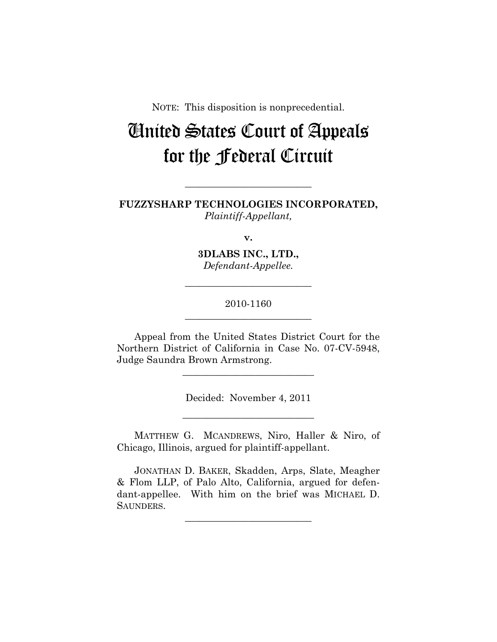NOTE: This disposition is nonprecedential.

## United States Court of Appeals for the Federal Circuit

**FUZZYSHARP TECHNOLOGIES INCORPORATED,**  *Plaintiff-Appellant,* 

**\_\_\_\_\_\_\_\_\_\_\_\_\_\_\_\_\_\_\_\_\_\_\_\_\_\_** 

**v.** 

**3DLABS INC., LTD.,**  *Defendant-Appellee.* 

2010-1160 **\_\_\_\_\_\_\_\_\_\_\_\_\_\_\_\_\_\_\_\_\_\_\_\_\_\_** 

**\_\_\_\_\_\_\_\_\_\_\_\_\_\_\_\_\_\_\_\_\_\_\_\_\_\_** 

Appeal from the United States District Court for the Northern District of California in Case No. 07-CV-5948, Judge Saundra Brown Armstrong.

**\_\_\_\_\_\_\_\_\_\_\_\_\_\_\_\_\_\_\_\_\_\_\_\_\_\_\_** 

Decided: November 4, 2011

**\_\_\_\_\_\_\_\_\_\_\_\_\_\_\_\_\_\_\_\_\_\_\_\_\_\_\_** 

MATTHEW G. MCANDREWS, Niro, Haller & Niro, of Chicago, Illinois, argued for plaintiff-appellant.

JONATHAN D. BAKER, Skadden, Arps, Slate, Meagher & Flom LLP, of Palo Alto, California, argued for defendant-appellee. With him on the brief was MICHAEL D. SAUNDERS.

**\_\_\_\_\_\_\_\_\_\_\_\_\_\_\_\_\_\_\_\_\_\_\_\_\_\_**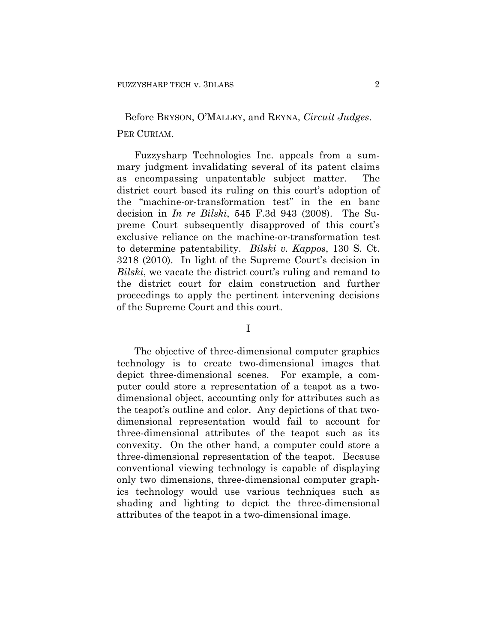## Before BRYSON, O'MALLEY, and REYNA, *Circuit Judges*. PER CURIAM.

Fuzzysharp Technologies Inc. appeals from a summary judgment invalidating several of its patent claims as encompassing unpatentable subject matter. The district court based its ruling on this court's adoption of the "machine-or-transformation test" in the en banc decision in *In re Bilski*, 545 F.3d 943 (2008). The Supreme Court subsequently disapproved of this court's exclusive reliance on the machine-or-transformation test to determine patentability. *Bilski v. Kappos*, 130 S. Ct. 3218 (2010). In light of the Supreme Court's decision in *Bilski*, we vacate the district court's ruling and remand to the district court for claim construction and further proceedings to apply the pertinent intervening decisions of the Supreme Court and this court.

I

The objective of three-dimensional computer graphics technology is to create two-dimensional images that depict three-dimensional scenes. For example, a computer could store a representation of a teapot as a twodimensional object, accounting only for attributes such as the teapot's outline and color. Any depictions of that twodimensional representation would fail to account for three-dimensional attributes of the teapot such as its convexity. On the other hand, a computer could store a three-dimensional representation of the teapot. Because conventional viewing technology is capable of displaying only two dimensions, three-dimensional computer graphics technology would use various techniques such as shading and lighting to depict the three-dimensional attributes of the teapot in a two-dimensional image.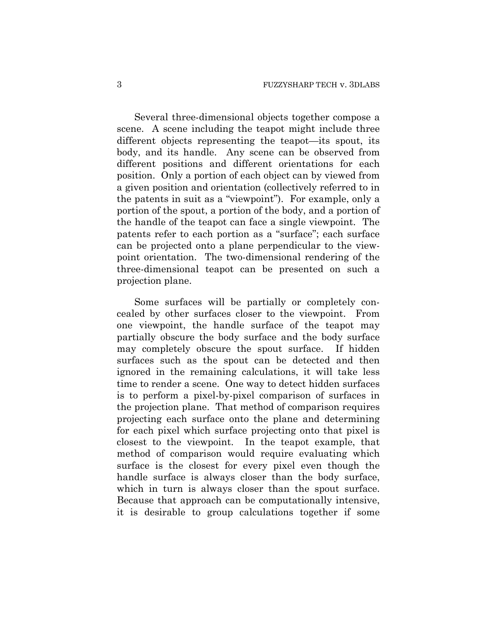Several three-dimensional objects together compose a scene. A scene including the teapot might include three different objects representing the teapot—its spout, its body, and its handle. Any scene can be observed from different positions and different orientations for each position. Only a portion of each object can by viewed from a given position and orientation (collectively referred to in the patents in suit as a "viewpoint"). For example, only a portion of the spout, a portion of the body, and a portion of the handle of the teapot can face a single viewpoint. The patents refer to each portion as a "surface"; each surface can be projected onto a plane perpendicular to the viewpoint orientation. The two-dimensional rendering of the three-dimensional teapot can be presented on such a projection plane.

Some surfaces will be partially or completely concealed by other surfaces closer to the viewpoint. From one viewpoint, the handle surface of the teapot may partially obscure the body surface and the body surface may completely obscure the spout surface. If hidden surfaces such as the spout can be detected and then ignored in the remaining calculations, it will take less time to render a scene. One way to detect hidden surfaces is to perform a pixel-by-pixel comparison of surfaces in the projection plane. That method of comparison requires projecting each surface onto the plane and determining for each pixel which surface projecting onto that pixel is closest to the viewpoint. In the teapot example, that method of comparison would require evaluating which surface is the closest for every pixel even though the handle surface is always closer than the body surface, which in turn is always closer than the spout surface. Because that approach can be computationally intensive, it is desirable to group calculations together if some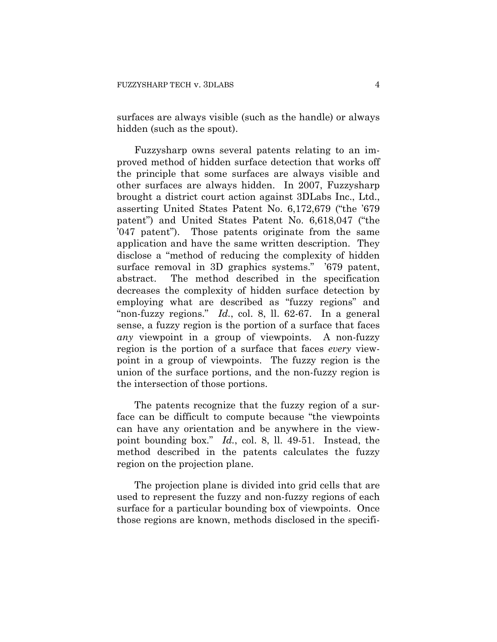surfaces are always visible (such as the handle) or always hidden (such as the spout).

Fuzzysharp owns several patents relating to an improved method of hidden surface detection that works off the principle that some surfaces are always visible and other surfaces are always hidden. In 2007, Fuzzysharp brought a district court action against 3DLabs Inc., Ltd., asserting United States Patent No. 6,172,679 ("the '679 patent") and United States Patent No. 6,618,047 ("the '047 patent"). Those patents originate from the same application and have the same written description. They disclose a "method of reducing the complexity of hidden surface removal in 3D graphics systems." '679 patent, abstract. The method described in the specification decreases the complexity of hidden surface detection by employing what are described as "fuzzy regions" and "non-fuzzy regions." *Id.*, col. 8, ll. 62-67. In a general sense, a fuzzy region is the portion of a surface that faces *any* viewpoint in a group of viewpoints. A non-fuzzy region is the portion of a surface that faces *every* viewpoint in a group of viewpoints. The fuzzy region is the union of the surface portions, and the non-fuzzy region is the intersection of those portions.

The patents recognize that the fuzzy region of a surface can be difficult to compute because "the viewpoints can have any orientation and be anywhere in the viewpoint bounding box." *Id.*, col. 8, ll. 49-51. Instead, the method described in the patents calculates the fuzzy region on the projection plane.

The projection plane is divided into grid cells that are used to represent the fuzzy and non-fuzzy regions of each surface for a particular bounding box of viewpoints. Once those regions are known, methods disclosed in the specifi-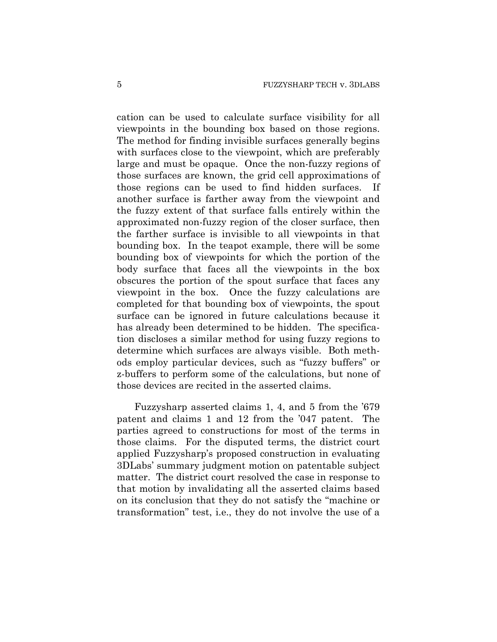cation can be used to calculate surface visibility for all viewpoints in the bounding box based on those regions. The method for finding invisible surfaces generally begins with surfaces close to the viewpoint, which are preferably large and must be opaque. Once the non-fuzzy regions of those surfaces are known, the grid cell approximations of those regions can be used to find hidden surfaces. If another surface is farther away from the viewpoint and the fuzzy extent of that surface falls entirely within the approximated non-fuzzy region of the closer surface, then the farther surface is invisible to all viewpoints in that bounding box. In the teapot example, there will be some bounding box of viewpoints for which the portion of the body surface that faces all the viewpoints in the box obscures the portion of the spout surface that faces any viewpoint in the box. Once the fuzzy calculations are completed for that bounding box of viewpoints, the spout surface can be ignored in future calculations because it has already been determined to be hidden. The specification discloses a similar method for using fuzzy regions to determine which surfaces are always visible. Both methods employ particular devices, such as "fuzzy buffers" or z-buffers to perform some of the calculations, but none of those devices are recited in the asserted claims.

Fuzzysharp asserted claims 1, 4, and 5 from the '679 patent and claims 1 and 12 from the '047 patent. The parties agreed to constructions for most of the terms in those claims. For the disputed terms, the district court applied Fuzzysharp's proposed construction in evaluating 3DLabs' summary judgment motion on patentable subject matter. The district court resolved the case in response to that motion by invalidating all the asserted claims based on its conclusion that they do not satisfy the "machine or transformation" test, i.e., they do not involve the use of a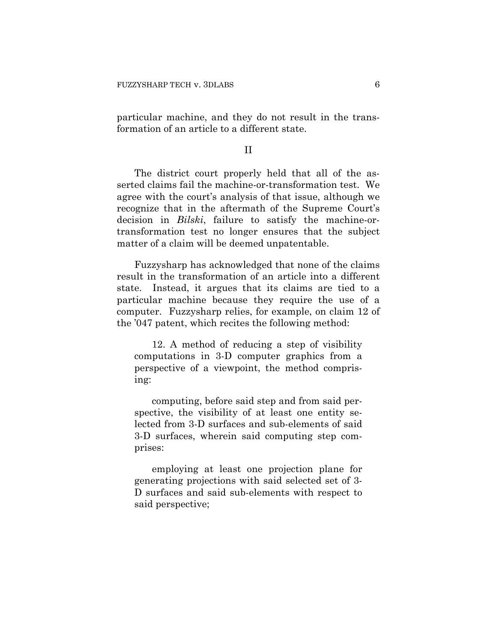particular machine, and they do not result in the transformation of an article to a different state.

## II

The district court properly held that all of the asserted claims fail the machine-or-transformation test. We agree with the court's analysis of that issue, although we recognize that in the aftermath of the Supreme Court's decision in *Bilski*, failure to satisfy the machine-ortransformation test no longer ensures that the subject matter of a claim will be deemed unpatentable.

Fuzzysharp has acknowledged that none of the claims result in the transformation of an article into a different state. Instead, it argues that its claims are tied to a particular machine because they require the use of a computer. Fuzzysharp relies, for example, on claim 12 of the '047 patent, which recites the following method:

12. A method of reducing a step of visibility computations in 3-D computer graphics from a perspective of a viewpoint, the method comprising:

computing, before said step and from said perspective, the visibility of at least one entity selected from 3-D surfaces and sub-elements of said 3-D surfaces, wherein said computing step comprises:

employing at least one projection plane for generating projections with said selected set of 3- D surfaces and said sub-elements with respect to said perspective;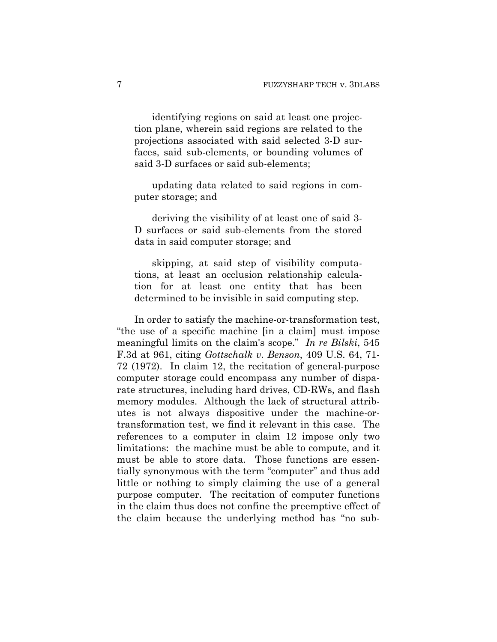identifying regions on said at least one projection plane, wherein said regions are related to the projections associated with said selected 3-D surfaces, said sub-elements, or bounding volumes of said 3-D surfaces or said sub-elements;

updating data related to said regions in computer storage; and

deriving the visibility of at least one of said 3- D surfaces or said sub-elements from the stored data in said computer storage; and

skipping, at said step of visibility computations, at least an occlusion relationship calculation for at least one entity that has been determined to be invisible in said computing step.

In order to satisfy the machine-or-transformation test, "the use of a specific machine [in a claim] must impose meaningful limits on the claim's scope." *In re Bilski*, 545 F.3d at 961, citing *Gottschalk v. Benson*, 409 U.S. 64, 71- 72 (1972). In claim 12, the recitation of general-purpose computer storage could encompass any number of disparate structures, including hard drives, CD-RWs, and flash memory modules. Although the lack of structural attributes is not always dispositive under the machine-ortransformation test, we find it relevant in this case. The references to a computer in claim 12 impose only two limitations: the machine must be able to compute, and it must be able to store data. Those functions are essentially synonymous with the term "computer" and thus add little or nothing to simply claiming the use of a general purpose computer. The recitation of computer functions in the claim thus does not confine the preemptive effect of the claim because the underlying method has "no sub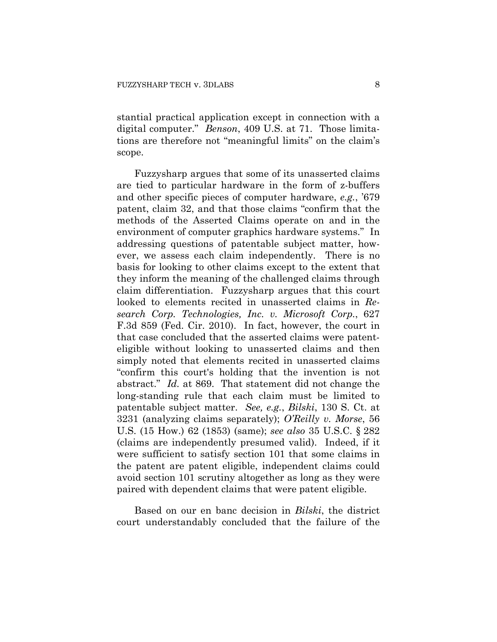stantial practical application except in connection with a digital computer." *Benson*, 409 U.S. at 71. Those limitations are therefore not "meaningful limits" on the claim's scope.

Fuzzysharp argues that some of its unasserted claims are tied to particular hardware in the form of z-buffers and other specific pieces of computer hardware, *e.g.*, '679 patent, claim 32, and that those claims "confirm that the methods of the Asserted Claims operate on and in the environment of computer graphics hardware systems." In addressing questions of patentable subject matter, however, we assess each claim independently. There is no basis for looking to other claims except to the extent that they inform the meaning of the challenged claims through claim differentiation. Fuzzysharp argues that this court looked to elements recited in unasserted claims in *Research Corp. Technologies, Inc. v. Microsoft Corp.*, 627 F.3d 859 (Fed. Cir. 2010). In fact, however, the court in that case concluded that the asserted claims were patenteligible without looking to unasserted claims and then simply noted that elements recited in unasserted claims "confirm this court's holding that the invention is not abstract." *Id.* at 869. That statement did not change the long-standing rule that each claim must be limited to patentable subject matter. *See, e.g.*, *Bilski*, 130 S. Ct. at 3231 (analyzing claims separately); *O'Reilly v. Morse*, 56 U.S. (15 How.) 62 (1853) (same); *see also* 35 U.S.C. § 282 (claims are independently presumed valid). Indeed, if it were sufficient to satisfy section 101 that some claims in the patent are patent eligible, independent claims could avoid section 101 scrutiny altogether as long as they were paired with dependent claims that were patent eligible.

Based on our en banc decision in *Bilski*, the district court understandably concluded that the failure of the